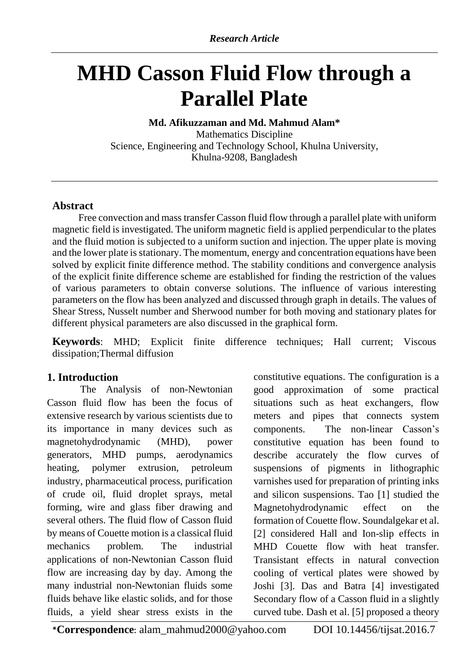# **MHD Casson Fluid Flow through a Parallel Plate**

### **Md. Afikuzzaman and Md. Mahmud Alam\***

Mathematics Discipline Science, Engineering and Technology School, Khulna University, Khulna-9208, Bangladesh

## **Abstract**

Free convection and mass transfer Casson fluid flow through a parallel plate with uniform magnetic field is investigated. The uniform magnetic field is applied perpendicular to the plates and the fluid motion is subjected to a uniform suction and injection. The upper plate is moving and the lower plate is stationary. The momentum, energy and concentration equations have been solved by explicit finite difference method. The stability conditions and convergence analysis of the explicit finite difference scheme are established for finding the restriction of the values of various parameters to obtain converse solutions. The influence of various interesting parameters on the flow has been analyzed and discussed through graph in details. The values of Shear Stress, Nusselt number and Sherwood number for both moving and stationary plates for different physical parameters are also discussed in the graphical form.

**Keywords**: MHD; Explicit finite difference techniques; Hall current; Viscous dissipation;Thermal diffusion

# **1. Introduction**

The Analysis of non-Newtonian Casson fluid flow has been the focus of extensive research by various scientists due to its importance in many devices such as magnetohydrodynamic (MHD), power generators, MHD pumps, aerodynamics heating, polymer extrusion, petroleum industry, pharmaceutical process, purification of crude oil, fluid droplet sprays, metal forming, wire and glass fiber drawing and several others. The fluid flow of Casson fluid by means of Couette motion is a classical fluid mechanics problem. The industrial applications of non-Newtonian Casson fluid flow are increasing day by day. Among the many industrial non-Newtonian fluids some fluids behave like elastic solids, and for those fluids, a yield shear stress exists in the

constitutive equations. The configuration is a good approximation of some practical situations such as heat exchangers, flow meters and pipes that connects system components. The non-linear Casson's constitutive equation has been found to describe accurately the flow curves of suspensions of pigments in lithographic varnishes used for preparation of printing inks and silicon suspensions. Tao [1] studied the Magnetohydrodynamic effect on the formation of Couette flow. Soundalgekar et al. [2] considered Hall and Ion-slip effects in MHD Couette flow with heat transfer. Transistant effects in natural convection cooling of vertical plates were showed by Joshi [3]. Das and Batra [4] investigated Secondary flow of a Casson fluid in a slightly curved tube. Dash et al. [5] proposed a theory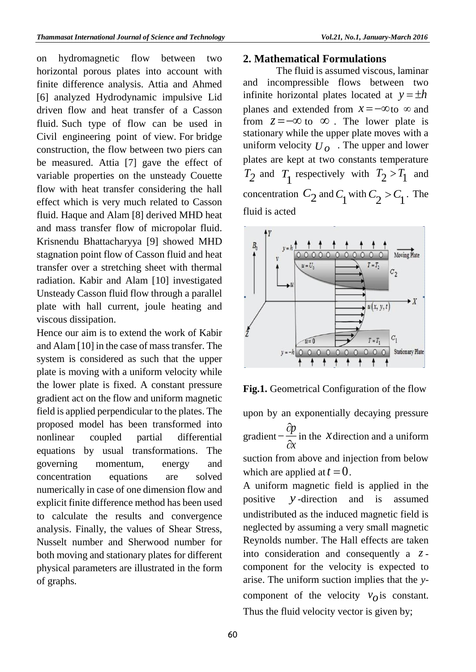on hydromagnetic flow between two horizontal porous plates into account with finite difference analysis. Attia and Ahmed [6] analyzed Hydrodynamic impulsive Lid driven flow and heat transfer of a Casson fluid. Such type of flow can be used in Civil engineering point of view. For bridge construction, the flow between two piers can be measured. Attia [7] gave the effect of variable properties on the unsteady Couette flow with heat transfer considering the hall effect which is very much related to Casson fluid. Haque and Alam [8] derived MHD heat and mass transfer flow of micropolar fluid. Krisnendu Bhattacharyya [9] showed MHD stagnation point flow of Casson fluid and heat transfer over a stretching sheet with thermal radiation. Kabir and Alam [10] investigated Unsteady Casson fluid flow through a parallel plate with hall current, joule heating and viscous dissipation.

Hence our aim is to extend the work of Kabir and Alam [10] in the case of mass transfer. The system is considered as such that the upper plate is moving with a uniform velocity while the lower plate is fixed. A constant pressure gradient act on the flow and uniform magnetic field is applied perpendicular to the plates. The proposed model has been transformed into nonlinear coupled partial differential equations by usual transformations. The governing momentum, energy and concentration equations are solved numerically in case of one dimension flow and explicit finite difference method has been used to calculate the results and convergence analysis. Finally, the values of Shear Stress, Nusselt number and Sherwood number for both moving and stationary plates for different physical parameters are illustrated in the form of graphs.

#### **2. Mathematical Formulations**

The fluid is assumed viscous, laminar and incompressible flows between two infinite horizontal plates located at  $y = \pm h$ planes and extended from  $x = -\infty$  to  $\infty$  and from  $z = -\infty$  to  $\infty$ . The lower plate is stationary while the upper plate moves with a uniform velocity  $U<sub>o</sub>$ . The upper and lower plates are kept at two constants temperature  $T_2$  and  $T_1$  respectively with  $T_2 > T_1$  and concentration  $C_2$  and  $C_1$  with  $C_2 > C_1$ . The fluid is acted





upon by an exponentially decaying pressure gradient –  $\frac{op}{\sim}$ *x* д.  $-\frac{\partial p}{\partial \rho}$  in the *X* direction and a uniform suction from above and injection from below which are applied at  $t = 0$ . A uniform magnetic field is applied in the

positive *y* -direction and is assumed undistributed as the induced magnetic field is neglected by assuming a very small magnetic Reynolds number. The Hall effects are taken into consideration and consequently a *z*component for the velocity is expected to arise. The uniform suction implies that the *y*component of the velocity  $v<sub>o</sub>$  is constant. Thus the fluid velocity vector is given by;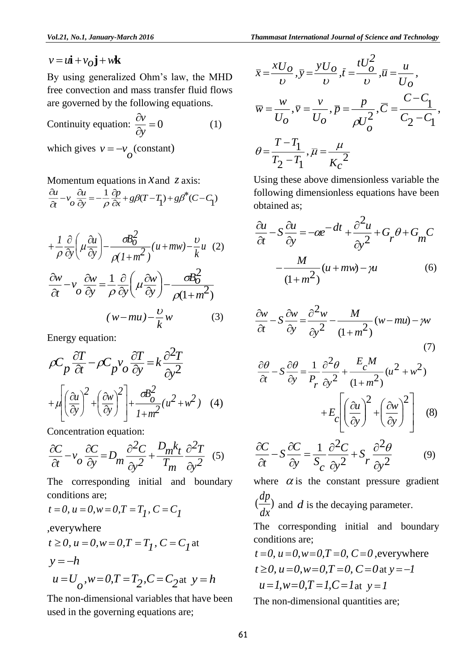*2*

By using generalized Ohm's law, the MHD free convection and mass transfer fluid flows are governed by the following equations.

Continuity equation:  $\frac{\partial v}{\partial y} = 0$ д *y v* (1) which gives  $v = -v_o$  (constant)

Momentum equations in  $x$  and  $z$  axis:

$$
\frac{\partial u}{\partial t} - v_o \frac{\partial u}{\partial y} = -\frac{1}{\rho} \frac{\partial p}{\partial x} + g\beta (T - T_1) + g\beta^* (C - C_1)
$$

$$
v = u\hat{i} + v_o \hat{j} + w\hat{k}
$$
  
By using generalized Ohm's law, the MHD  
free convection and mass transfer fluid flows  
are governed by the following equations.  
Continuity equation:  $\frac{\partial v}{\partial y} = 0$  (1)  
which gives  $v = -v_o$  (constant)  
Momentum equations in X and Z axis:  
 $\frac{\partial u}{\partial t} - v_o \frac{\partial u}{\partial y} = -\frac{1}{\rho} \frac{\partial p}{\partial x} + g\beta (T - T_1) + g\beta^* (C - C_1)$   
 $+ \frac{1}{\rho} \frac{\partial}{\partial y} \left( \mu \frac{\partial u}{\partial y} \right) - \frac{\sigma B_0^2}{\rho (1 + m^2)} (u + m w) - \frac{v}{k} u$  (2)  
 $\frac{\partial w}{\partial t} - v_o \frac{\partial w}{\partial y} = \frac{1}{\rho} \frac{\partial}{\partial y} \left( \mu \frac{\partial w}{\partial y} \right) - \frac{\sigma B_0^2}{\rho (1 + m^2)}$   
 $(w - mu) - \frac{v}{k} w$  (3)  
Energy equation:  
 $\rho C_p \frac{\partial T}{\partial t} - \rho C_p v_o \frac{\partial T}{\partial y} = k \frac{\partial^2 T}{\partial y^2}$   
 $+ \mu \left( \left( \frac{\partial u}{\partial y} \right)^2 + \left( \frac{\partial w}{\partial y} \right)^2 \right) + \frac{\sigma B_0^2}{1 + m^2} (u^2 + w^2)$  (4)  
Concentration equation:  
 $\frac{\partial C}{\partial t} - v_o \frac{\partial C}{\partial y} = D_m \frac{\partial^2 C}{\partial y^2} + \frac{D_m k_t}{T_m} \frac{\partial^2 T}{\partial y^2}$  (5)  
The corresponding initial and boundary  
conditions are;  
 $t = 0, u = 0, w = 0, T = T_1, C = C_1$   
, everywhere  
 $t \ge 0, u = 0, w = 0, T = T_1, C = C_2$  at  $y = -h$   
 $u = U_o, w = 0, T = T_2, C = C_2$  at  $y = h$   
The non-dimensional variables that have been  
used in the governing equations are; (61)

Energy equation:

$$
\rho C_p \frac{\partial T}{\partial t} - \rho C_p v_o \frac{\partial T}{\partial y} = k \frac{\partial^2 T}{\partial y^2} + \mu \left( \frac{\partial u}{\partial y} \right)^2 + \left( \frac{\partial w}{\partial y} \right)^2 + \frac{\partial B_o^2}{1 + m^2} (u^2 + w^2) \quad (4)
$$

Concentration equation:

$$
\frac{\partial C}{\partial t} - v_o \frac{\partial C}{\partial y} = D_m \frac{\partial^2 C}{\partial y^2} + \frac{D_m k_t}{T_m} \frac{\partial^2 T}{\partial y^2}
$$
 (5)

The corresponding initial and boundary conditions are;

$$
t = 0
$$
,  $u = 0$ ,  $w = 0$ ,  $T = T_1$ ,  $C = C_1$ 

,everywhere

$$
t \ge 0
$$
,  $u = 0$ ,  $w = 0$ ,  $T = T_1$ ,  $C = C_1$  at  
\n $y = -h$   
\n $u = U_0$ ,  $w = 0$ ,  $T = T_2$ ,  $C = C_2$  at  $y = h$ 

The non-dimensional variables that have been used in the governing equations are;

$$
\bar{x} = \frac{xU_O}{\nu}, \bar{y} = \frac{yU_O}{\nu}, \bar{t} = \frac{tU_O^2}{\nu}, \bar{u} = \frac{u}{U_O},
$$
\n
$$
\bar{w} = \frac{w}{U_O}, \bar{v} = \frac{v}{U_O}, \bar{p} = \frac{p}{\rho U_O^2}, \bar{C} = \frac{C - C_1}{C_2 - C_1},
$$
\n
$$
\theta = \frac{T - T_1}{T_2 - T_1}, \bar{\mu} = \frac{\mu}{K_C^2}
$$

Using these above dimensionless variable the following dimensionless equations have been obtained as;

$$
\frac{\partial u}{\partial t} - S \frac{\partial u}{\partial y} = -\alpha e^{-\alpha t} + \frac{\partial^2 u}{\partial y^2} + G_p \theta + G_m C
$$

$$
-\frac{M}{(1+m^2)} (u + mw) - \mu
$$
(6)

$$
\frac{\partial w}{\partial t} - S \frac{\partial w}{\partial y} = \frac{\partial^2 w}{\partial y^2} - \frac{M}{(1 + m^2)} (w - mu) - \gamma w
$$
\n(7)

$$
\frac{\partial \theta}{\partial t} - S \frac{\partial \theta}{\partial y} = \frac{1}{P_r} \frac{\partial^2 \theta}{\partial y^2} + \frac{E_c M}{(1 + m^2)} (u^2 + w^2) \n+ E_c \left[ \left( \frac{\partial u}{\partial y} \right)^2 + \left( \frac{\partial w}{\partial y} \right)^2 \right] \tag{8}
$$

$$
\frac{\partial C}{\partial t} - S \frac{\partial C}{\partial y} = \frac{1}{S_C} \frac{\partial^2 C}{\partial y^2} + S_r \frac{\partial^2 \theta}{\partial y^2}
$$
(9)

where  $\alpha$  is the constant pressure gradient  $\frac{d^2F}{dx^2}$ *dp* and *d* is the decaying parameter.

The corresponding initial and boundary conditions are;

$$
t=0
$$
,  $u=0$ ,  $w=0$ ,  $T=0$ ,  $C=0$ , everywhere  
\n $t \ge 0$ ,  $u=0$ ,  $w=0$ ,  $T=0$ ,  $C=0$  at  $y=-1$   
\n $u=1$ ,  $w=0$ ,  $T=1$ ,  $C=1$  at  $y=1$ 

The non-dimensional quantities are;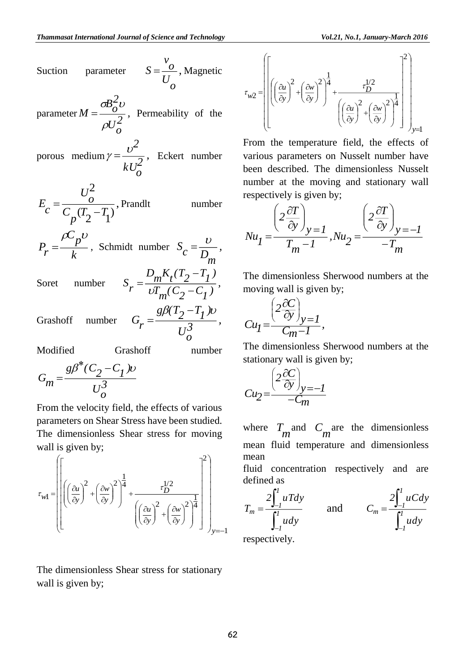

$$
\tau_{w1} = \left[ \left[ \left( \left( \frac{\partial u}{\partial y} \right)^2 + \left( \frac{\partial w}{\partial y} \right)^2 \right)^{\frac{1}{4}} + \frac{\tau_D^{1/2}}{\left( \left( \frac{\partial u}{\partial y} \right)^2 + \left( \frac{\partial w}{\partial y} \right)^2 \right)^{\frac{1}{4}}} \right] \right]_{y=-1}
$$

The dimensionless Shear stress for stationary wall is given by;

$$
\tau_{w2} = \left[ \left[ \left( \left( \frac{\partial u}{\partial y} \right)^2 + \left( \frac{\partial w}{\partial y} \right)^2 \right)^{\frac{1}{4}} + \frac{\tau_D^{1/2}}{\left( \left( \frac{\partial u}{\partial y} \right)^2 + \left( \frac{\partial w}{\partial y} \right)^2 \right)^{\frac{1}{4}}} \right] \right]_{y=1}
$$

From the temperature field, the effects of various parameters on Nusselt number have been described. The dimensionless Nusselt number at the moving and stationary wall respectively is given by;

$$
Nu_{1} = \frac{\left(2\frac{\partial T}{\partial y}\right)_{y=1}}{T_{m}-1}, Nu_{2} = \frac{\left(2\frac{\partial T}{\partial y}\right)_{y=-1}}{-T_{m}}
$$

The dimensionless Sherwood numbers at the moving wall is given by;

$$
Cu_I = \frac{\left(2\frac{\partial C}{\partial y}\right)_{y=I}}{C_m - I},
$$

The dimensionless Sherwood numbers at the stationary wall is given by;

$$
Cu_2 = \frac{\left(2\frac{\partial C}{\partial y}\right)_{y=-1}}{-C_m}
$$

where  $T_m$  and  $C_m$  are the dimensionless mean fluid temperature and dimensionless mean

fluid concentration respectively and are defined as

$$
T_m = \frac{2\int_{-l}^{l} uTdy}{\int_{-l}^{l} udy}
$$
 and 
$$
C_m = \frac{2\int_{-l}^{l} uCdy}{\int_{-l}^{l} udy}
$$

respectively.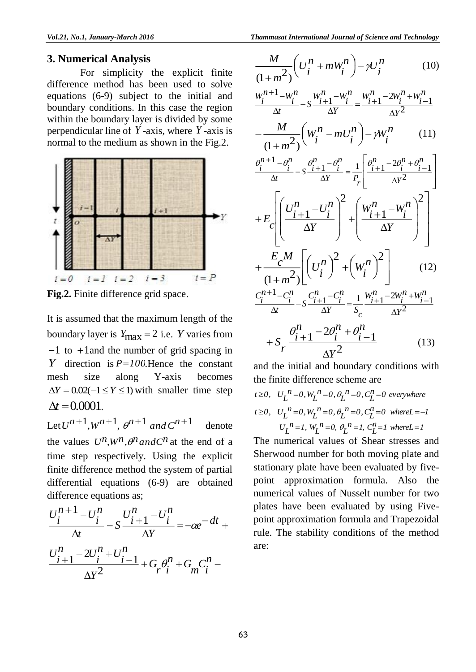#### **3. Numerical Analysis**

For simplicity the explicit finite difference method has been used to solve equations (6-9) subject to the initial and boundary conditions. In this case the region within the boundary layer is divided by some perpendicular line of *Y* -axis, where *Y* -axis is normal to the medium as shown in the Fig.2.



**Fig.2.** Finite difference grid space.

It is assumed that the maximum length of the boundary layer is  $Y_{\text{max}} = 2$  i.e. Y varies from  $-1$  to  $+1$  and the number of grid spacing in *Y* direction is *P100* .Hence the constant mesh size along Y-axis becomes  $\Delta Y = 0.02(-1 \le Y \le 1)$  with smaller time step  $\Delta t = 0.0001$ .

Let  $U^{n+1}$ ,  $W^{n+1}$ ,  $\theta^{n+1}$  and  $C^{n+1}$ denote the values  $U^n$ ,  $W^n$ ,  $\theta^n$  and  $C^n$  at the end of a time step respectively. Using the explicit finite difference method the system of partial differential equations (6-9) are obtained difference equations as;

$$
\frac{U_i^{n+1} - U_i^n}{\Delta t} - S \frac{U_{i+1}^n - U_i^n}{\Delta Y} = -\alpha e^{-\alpha t} + \frac{U_{i+1}^n - 2U_i^n + U_{i-1}^n}{\Delta Y} + G_p \theta_i^n + G_m C_i^n - \frac{V_i^n}{\Delta Y^n}
$$

$$
\frac{M}{(1+n^2)} \left( U_i^n + mW_i^n \right) - \gamma U_i^n \qquad (10)
$$
\n
$$
\frac{W_i^{n+1} - W_i^n}{\Delta t} - S \frac{W_{i+1}^n - W_i^n}{\Delta Y} = \frac{W_{i+1}^n - 2W_i^n + W_{i-1}^n}{\Delta Y^2}
$$
\n
$$
-\frac{M}{(1+n^2)} \left( W_i^n - mU_i^n \right) - \gamma W_i^n \qquad (11)
$$
\n
$$
\frac{\theta_i^{n+1} - \theta_i^n}{\Delta t} - S \frac{\theta_{i+1}^n - \theta_i^n}{\Delta Y} = \frac{1}{P_r} \left[ \frac{\theta_{i+1}^n - 2\theta_i^n + \theta_{i-1}^n}{\Delta Y^2} \right]
$$
\n
$$
+ E_c \left[ \left( \frac{U_i^n - U_i^n}{\Delta Y} \right)^2 + \left( \frac{W_{i+1}^n - W_i^n}{\Delta Y} \right)^2 \right]
$$
\n
$$
+ \frac{E_c M}{(1+m^2)} \left[ \left( U_i^n \right)^2 + \left( W_i^n \right)^2 \right] \qquad (12)
$$
\n
$$
\frac{C_i^{n+1} - C_i^n}{\Delta t} - S \frac{C_{i+1}^n - C_i^n}{\Delta Y} = \frac{1}{S_c} \frac{W_{i+1}^n - 2W_i^n + W_{i-1}^n}{\Delta Y^2}
$$
\n
$$
+ S_r \frac{\theta_{i+1}^n - 2\theta_i^n + \theta_{i-1}^n}{\Delta Y^2} \qquad (13)
$$

and the initial and boundary conditions with the finite difference scheme are

*t*  $\geq 0$ ,  $U_{L}^{n} = 0$ ,  $W_{L}^{n} = 0$ ,  $\theta_{L}^{n} = 0$ ,  $C_{L}^{n} = 0$  everywhere  $v_L$  *n*<sub>*l*</sub> *n*<sub>*l*</sub> *n*<sub>*l*</sub> *n*<sub>*l*</sub> *n*<sub>*l*</sub> *n*<sub>*l*</sub> *n*<sub>*l*</sub> *n*<sub>*l*</sub> *n*<sub>*l*</sub> *n*<sub>*l*</sub> *n*<sub>*l*</sub> *n*<sub>*l*</sub> *n*<sub>*l*</sub> *n*<sub>*l*</sub> *n*<sub>*l*</sub> *n*<sub>*l*</sub> *n*<sub>*l*</sub> *n*<sub>*l*</sub> *n*<sub>*n*</sub> *n*<sub>*n*</sub> *n*<sub>*n*</sub> *n*<sub>*n*</sup> *n*<sub>*n*</sub> *n n*<sub>*</sub></sub>*  $U_L$ <sup>*n*</sup>=1,  $W_L$ <sup>*n*</sup>=0,  $\theta_L$ <sup>*n*</sup>=1,  $C_L$ <sup>*n*</sup>=1 whereL=1

The numerical values of Shear stresses and Sherwood number for both moving plate and stationary plate have been evaluated by fivepoint approximation formula. Also the numerical values of Nusselt number for two plates have been evaluated by using Fivepoint approximation formula and Trapezoidal rule. The stability conditions of the method are: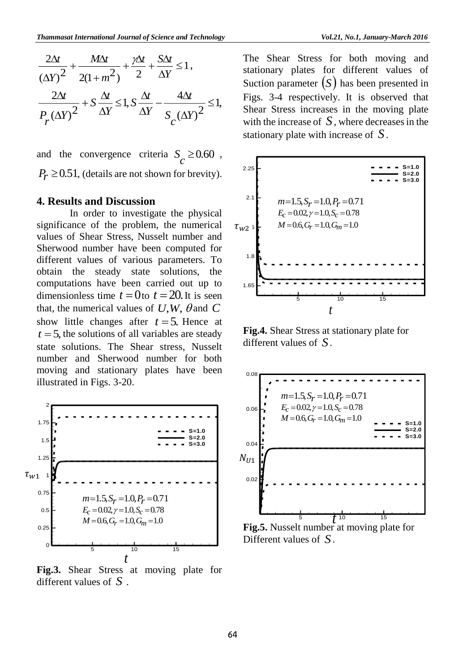$$
\frac{2\Delta t}{(\Delta Y)^2} + \frac{M\Delta t}{2(1+m^2)} + \frac{\gamma \Delta t}{2} + \frac{S\Delta t}{\Delta Y} \le 1,
$$
  

$$
\frac{2\Delta t}{P_r(\Delta Y)^2} + S\frac{\Delta t}{\Delta Y} \le 1, S\frac{\Delta t}{\Delta Y} - \frac{4\Delta t}{S_c(\Delta Y)^2} \le 1,
$$

and the convergence criteria  $S_c \ge 0.60$ ,  $P_r \geq 0.51$ , (details are not shown for brevity).

#### **4. Results and Discussion**

In order to investigate the physical significance of the problem, the numerical values of Shear Stress, Nusselt number and Sherwood number have been computed for different values of various parameters. To obtain the steady state solutions, the computations have been carried out up to dimensionless time  $t = 0$  to  $t = 20$ . It is seen that, the numerical values of  $U, W, \theta$  and  $C$ show little changes after  $t = 5$ . Hence at  $t = 5$ , the solutions of all variables are steady state solutions. The Shear stress, Nusselt number and Sherwood number for both moving and stationary plates have been illustrated in Figs. 3-20.



**Fig.3.** Shear Stress at moving plate for different values of *S* .

The Shear Stress for both moving and stationary plates for different values of Suction parameter  $(S)$  has been presented in Figs. 3-4 respectively. It is observed that Shear Stress increases in the moving plate with the increase of  $S$ , where decreases in the stationary plate with increase of *S*.



**Fig.4.** Shear Stress at stationary plate for different values of *S*.



**Fig.5.** Nusselt number at moving plate for Different values of *S*.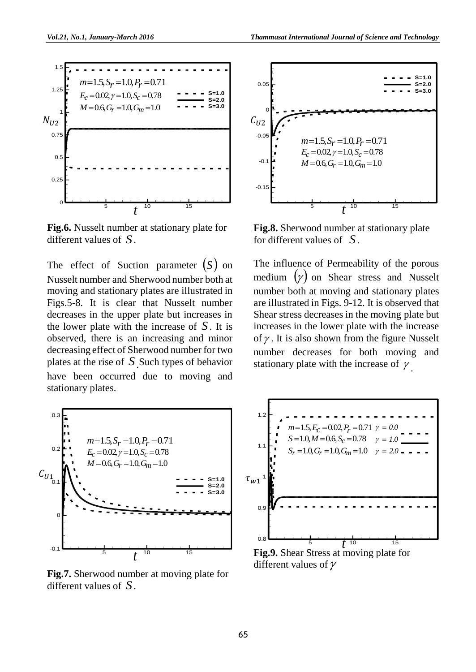

**Fig.6.** Nusselt number at stationary plate for different values of *S*.

The effect of Suction parameter  $(S)$  on Nusselt number and Sherwood number both at moving and stationary plates are illustrated in Figs.5-8. It is clear that Nusselt number decreases in the upper plate but increases in the lower plate with the increase of  $S$ . It is observed, there is an increasing and minor decreasing effect of Sherwood number for two plates at the rise of *<sup>S</sup>*.Such types of behavior have been occurred due to moving and stationary plates.



**Fig.7.** Sherwood number at moving plate for different values of *S*.



**Fig.8.** Sherwood number at stationary plate for different values of *S*.

The influence of Permeability of the porous medium  $(y)$  on Shear stress and Nusselt number both at moving and stationary plates are illustrated in Figs. 9-12. It is observed that Shear stress decreases in the moving plate but increases in the lower plate with the increase of  $\gamma$ . It is also shown from the figure Nusselt number decreases for both moving and stationary plate with the increase of  $\gamma$ .

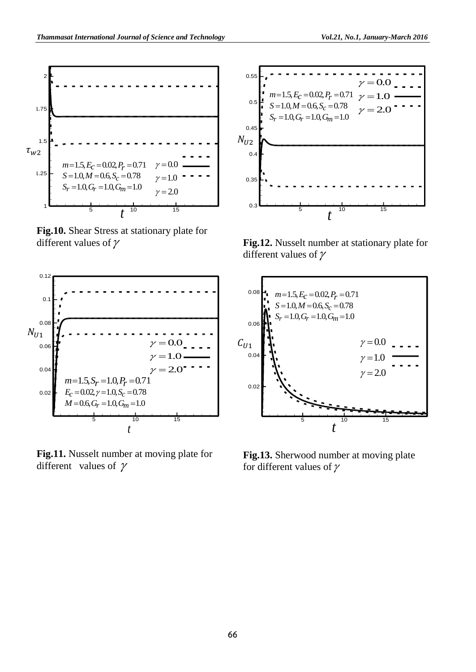

**Fig.10.** Shear Stress at stationary plate for different values of  $\gamma$ 



**Fig.11.** Nusselt number at moving plate for different values of  $\gamma$ 



**Fig.12.** Nusselt number at stationary plate for different values of  $\gamma$ 



**Fig.13.** Sherwood number at moving plate for different values of  $\gamma$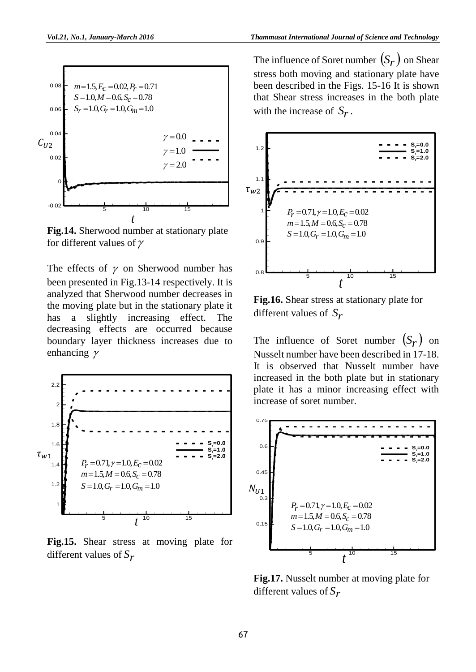

**Fig.14.** Sherwood number at stationary plate for different values of  $\gamma$ 

The effects of  $\gamma$  on Sherwood number has been presented in Fig.13-14 respectively. It is analyzed that Sherwood number decreases in the moving plate but in the stationary plate it has a slightly increasing effect. The decreasing effects are occurred because boundary layer thickness increases due to enhancing  $\gamma$ 



**Fig.15.** Shear stress at moving plate for different values of *Sr*

The influence of Soret number  $(S_r)$  on Shear stress both moving and stationary plate have been described in the Figs. 15-16 It is shown that Shear stress increases in the both plate with the increase of  $S_r$ .



**Fig.16.** Shear stress at stationary plate for different values of *Sr*

The influence of Soret number  $(S_r)$  on Nusselt number have been described in 17-18. It is observed that Nusselt number have increased in the both plate but in stationary plate it has a minor increasing effect with increase of soret number.



**Fig.17.** Nusselt number at moving plate for different values of *Sr*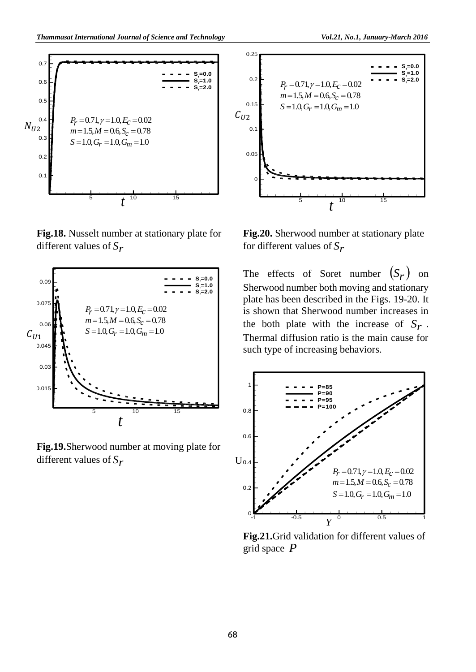

**Fig.18.** Nusselt number at stationary plate for different values of *Sr*



**Fig.19.**Sherwood number at moving plate for different values of *Sr*



**Fig.20.** Sherwood number at stationary plate for different values of *Sr*

The effects of Soret number  $(S_r)$  on Sherwood number both moving and stationary plate has been described in the Figs. 19-20. It is shown that Sherwood number increases in the both plate with the increase of  $S_r$ . Thermal diffusion ratio is the main cause for such type of increasing behaviors.



**Fig.21.**Grid validation for different values of grid space *P*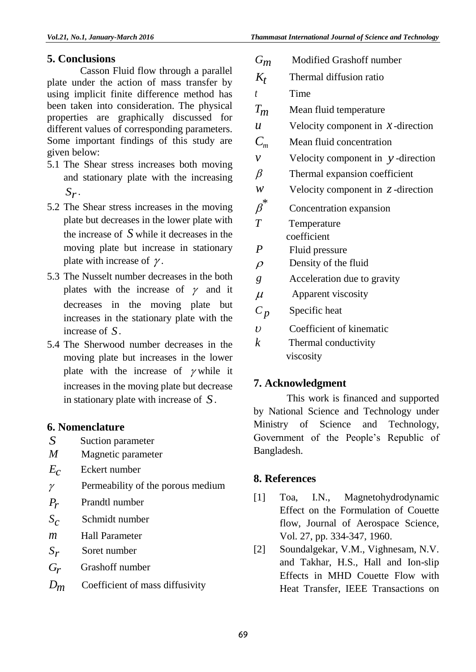# **5. Conclusions**

Casson Fluid flow through a parallel plate under the action of mass transfer by using implicit finite difference method has been taken into consideration. The physical properties are graphically discussed for different values of corresponding parameters. Some important findings of this study are given below:

- 5.1 The Shear stress increases both moving and stationary plate with the increasing *Sr* .
- 5.2 The Shear stress increases in the moving plate but decreases in the lower plate with the increase of *S* while it decreases in the moving plate but increase in stationary plate with increase of  $\gamma$ .
- 5.3 The Nusselt number decreases in the both plates with the increase of  $\gamma$  and it decreases in the moving plate but increases in the stationary plate with the increase of *S*.
- 5.4 The Sherwood number decreases in the moving plate but increases in the lower plate with the increase of  $\gamma$  while it increases in the moving plate but decrease in stationary plate with increase of *S*.

# **6. Nomenclature**

- *S* Suction parameter<br>*M* Magnetic parameter
- *M* Magnetic parameter
- $E_c$ Eckert number
- $\gamma$ Permeability of the porous medium
- *Pr* Prandtl number
- $S_{c}$ Schmidt number
- *<sup>m</sup>* Hall Parameter
- *Sr* Soret number
- *Gr* Grashoff number
- *Dm* Coefficient of mass diffusivity

| $G_m$                  | Modified Grashoff number             |
|------------------------|--------------------------------------|
| $K_t$                  | Thermal diffusion ratio              |
| $\bar{t}$              | Time                                 |
| $T_m$                  | Mean fluid temperature               |
| $\boldsymbol{u}$       | Velocity component in $x$ -direction |
| $C_m$                  | Mean fluid concentration             |
| $\mathcal V$           | Velocity component in $y$ -direction |
| $\beta$                | Thermal expansion coefficient        |
| W                      | Velocity component in $z$ -direction |
| $\boldsymbol{\beta}^*$ | Concentration expansion              |
| $\overline{T}$         | Temperature                          |
|                        | coefficient                          |
| $\boldsymbol{P}$       | Fluid pressure                       |
| $\rho$                 | Density of the fluid                 |
| $\mathfrak{g}$         | Acceleration due to gravity          |
| $\mu$                  | Apparent viscosity                   |
| $C_p$                  | Specific heat                        |
| $\boldsymbol{v}$       | Coefficient of kinematic             |
| $\boldsymbol{k}$       | Thermal conductivity                 |
|                        | viscosity                            |
|                        |                                      |

# **7. Acknowledgment**

This work is financed and supported by National Science and Technology under Ministry of Science and Technology, Government of the People's Republic of Bangladesh.

# **8. References**

- [1] Toa, I.N., Magnetohydrodynamic Effect on the Formulation of Couette flow, Journal of Aerospace Science, Vol. 27, pp. 334-347, 1960.
- [2] Soundalgekar, V.M., Vighnesam, N.V. and Takhar, H.S., Hall and Ion-slip Effects in MHD Couette Flow with Heat Transfer, IEEE Transactions on